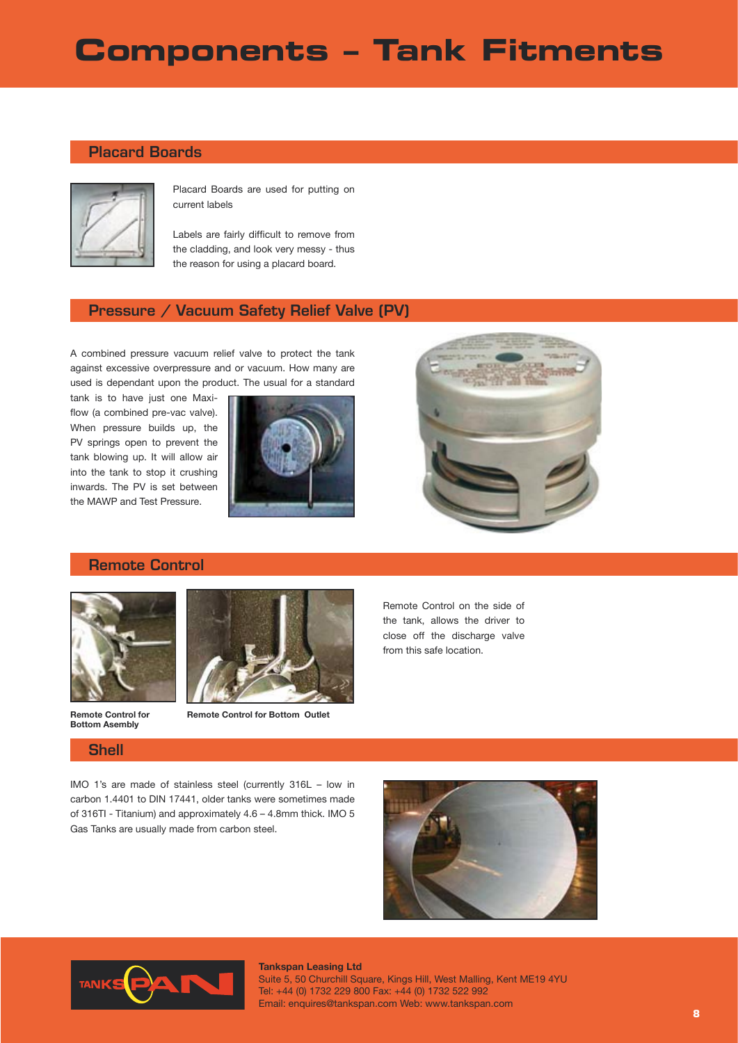# **Components – Tank Fitments**

### Placard Boards



Placard Boards are used for putting on current labels

Labels are fairly difficult to remove from the cladding, and look very messy - thus the reason for using a placard board.

### Pressure / Vacuum Safety Relief Valve (PV)

A combined pressure vacuum relief valve to protect the tank against excessive overpressure and or vacuum. How many are used is dependant upon the product. The usual for a standard

tank is to have just one Maxiflow (a combined pre-vac valve). When pressure builds up, the PV springs open to prevent the tank blowing up. It will allow air into the tank to stop it crushing inwards. The PV is set between the MAWP and Test Pressure.





## Remote Control



**Remote Control for Bottom Asembly**

Shell



**Remote Control for Bottom Outlet**

Remote Control on the side of the tank, allows the driver to close off the discharge valve from this safe location.

IMO 1's are made of stainless steel (currently 316L – low in carbon 1.4401 to DIN 17441, older tanks were sometimes made of 316TI - Titanium) and approximately 4.6 – 4.8mm thick. IMO 5 Gas Tanks are usually made from carbon steel.





#### **Tankspan Leasing Ltd** Suite 5, 50 Churchill Square, Kings Hill, West Malling, Kent ME19 4YU Tel: +44 (0) 1732 229 800 Fax: +44 (0) 1732 522 992 Email: enquires@tankspan.com Web: www.tankspan.com